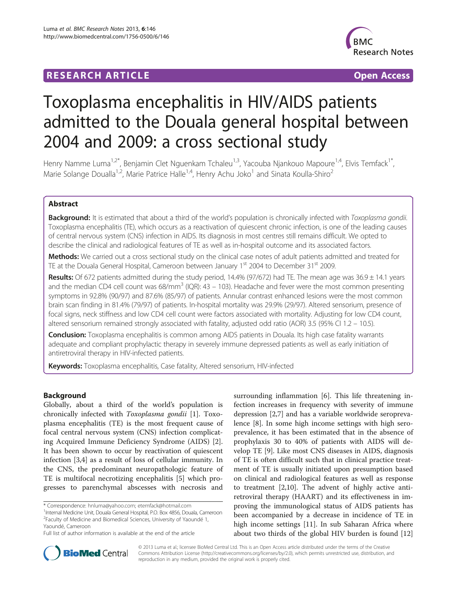## **RESEARCH ARTICLE Example 2018 12:00 Department 2018 12:00 Department 2018 12:00 Department 2018 12:00 Department 2018 12:00 Department 2018 12:00 Department 2018 12:00 Department 2018 12:00 Department 2018 12:00 Departm**



# Toxoplasma encephalitis in HIV/AIDS patients admitted to the Douala general hospital between 2004 and 2009: a cross sectional study

Henry Namme Luma<sup>1,2\*</sup>, Benjamin Clet Nguenkam Tchaleu<sup>1,3</sup>, Yacouba Njankouo Mapoure<sup>1,4</sup>, Elvis Temfack<sup>1\*</sup>, Marie Solange Doualla<sup>1,2</sup>, Marie Patrice Halle<sup>1,4</sup>, Henry Achu Joko<sup>1</sup> and Sinata Koulla-Shiro<sup>2</sup>

## Abstract

Background: It is estimated that about a third of the world's population is chronically infected with Toxoplasma gondii. Toxoplasma encephalitis (TE), which occurs as a reactivation of quiescent chronic infection, is one of the leading causes of central nervous system (CNS) infection in AIDS. Its diagnosis in most centres still remains difficult. We opted to describe the clinical and radiological features of TE as well as in-hospital outcome and its associated factors.

Methods: We carried out a cross sectional study on the clinical case notes of adult patients admitted and treated for TE at the Douala General Hospital, Cameroon between January 1<sup>st</sup> 2004 to December 31<sup>st</sup> 2009.

Results: Of 672 patients admitted during the study period, 14.4% (97/672) had TE. The mean age was 36.9 ± 14.1 years and the median CD4 cell count was  $68/\text{mm}^3$  (IQR): 43 – 103). Headache and fever were the most common presenting symptoms in 92.8% (90/97) and 87.6% (85/97) of patients. Annular contrast enhanced lesions were the most common brain scan finding in 81.4% (79/97) of patients. In-hospital mortality was 29.9% (29/97). Altered sensorium, presence of focal signs, neck stiffness and low CD4 cell count were factors associated with mortality. Adjusting for low CD4 count, altered sensorium remained strongly associated with fatality, adjusted odd ratio (AOR) 3.5 (95% CI 1.2 – 10.5).

**Conclusion:** Toxoplasma encephalitis is common among AIDS patients in Douala. Its high case fatality warrants adequate and compliant prophylactic therapy in severely immune depressed patients as well as early initiation of antiretroviral therapy in HIV-infected patients.

Keywords: Toxoplasma encephalitis, Case fatality, Altered sensorium, HIV-infected

## Background

Globally, about a third of the world's population is chronically infected with Toxoplasma gondii [[1\]](#page-3-0). Toxoplasma encephalitis (TE) is the most frequent cause of focal central nervous system (CNS) infection complicating Acquired Immune Deficiency Syndrome (AIDS) [\[2](#page-3-0)]. It has been shown to occur by reactivation of quiescent infection [\[3,4](#page-3-0)] as a result of loss of cellular immunity. In the CNS, the predominant neuropathologic feature of TE is multifocal necrotizing encephalitis [[5\]](#page-3-0) which progresses to parenchymal abscesses with necrosis and

\* Correspondence: [hnluma@yahoo.com](mailto:hnluma@yahoo.com); [etemfack@hotmail.com](mailto:etemfack@hotmail.com) <sup>1</sup>

<sup>1</sup> Internal Medicine Unit, Douala General Hospital, P.O. Box 4856, Douala, Cameroon <sup>2</sup> Faculty of Medicine and Biomedical Sciences, University of Yaoundé 1, Yaoundé, Cameroon

surrounding inflammation [[6\]](#page-3-0). This life threatening infection increases in frequency with severity of immune depression [[2,7\]](#page-3-0) and has a variable worldwide seroprevalence [[8\]](#page-3-0). In some high income settings with high seroprevalence, it has been estimated that in the absence of prophylaxis 30 to 40% of patients with AIDS will develop TE [[9\]](#page-3-0). Like most CNS diseases in AIDS, diagnosis of TE is often difficult such that in clinical practice treatment of TE is usually initiated upon presumption based on clinical and radiological features as well as response to treatment [[2](#page-3-0),[10](#page-3-0)]. The advent of highly active antiretroviral therapy (HAART) and its effectiveness in improving the immunological status of AIDS patients has been accompanied by a decrease in incidence of TE in high income settings [[11\]](#page-3-0). In sub Saharan Africa where about two thirds of the global HIV burden is found [[12](#page-4-0)]



© 2013 Luma et al.; licensee BioMed Central Ltd. This is an Open Access article distributed under the terms of the Creative Commons Attribution License [\(http://creativecommons.org/licenses/by/2.0\)](http://creativecommons.org/licenses/by/2.0), which permits unrestricted use, distribution, and reproduction in any medium, provided the original work is properly cited.

Full list of author information is available at the end of the article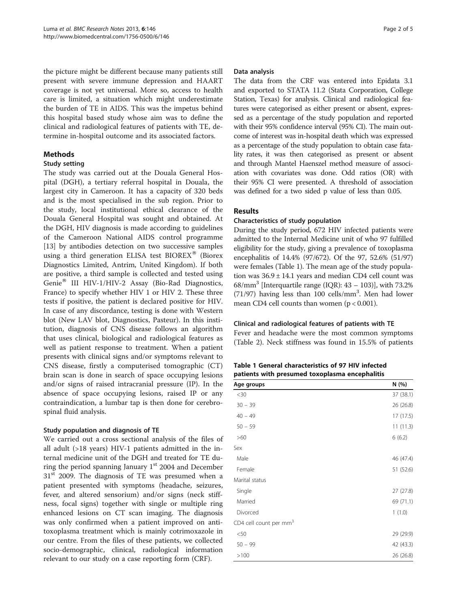the picture might be different because many patients still present with severe immune depression and HAART coverage is not yet universal. More so, access to health care is limited, a situation which might underestimate the burden of TE in AIDS. This was the impetus behind this hospital based study whose aim was to define the clinical and radiological features of patients with TE, determine in-hospital outcome and its associated factors.

## **Methods**

#### Study setting

The study was carried out at the Douala General Hospital (DGH), a tertiary referral hospital in Douala, the largest city in Cameroon. It has a capacity of 320 beds and is the most specialised in the sub region. Prior to the study, local institutional ethical clearance of the Douala General Hospital was sought and obtained. At the DGH, HIV diagnosis is made according to guidelines of the Cameroon National AIDS control programme [[13\]](#page-4-0) by antibodies detection on two successive samples using a third generation ELISA test BIOREX® (Biorex Diagnostics Limited, Antrim, United Kingdom). If both are positive, a third sample is collected and tested using Genie® III HIV-1/HIV-2 Assay (Bio-Rad Diagnostics, France) to specify whether HIV 1 or HIV 2. These three tests if positive, the patient is declared positive for HIV. In case of any discordance, testing is done with Western blot (New LAV blot, Diagnostics, Pasteur). In this institution, diagnosis of CNS disease follows an algorithm that uses clinical, biological and radiological features as well as patient response to treatment. When a patient presents with clinical signs and/or symptoms relevant to CNS disease, firstly a computerised tomographic (CT) brain scan is done in search of space occupying lesions and/or signs of raised intracranial pressure (IP). In the absence of space occupying lesions, raised IP or any contraindication, a lumbar tap is then done for cerebrospinal fluid analysis.

## Study population and diagnosis of TE

We carried out a cross sectional analysis of the files of all adult (>18 years) HIV-1 patients admitted in the internal medicine unit of the DGH and treated for TE during the period spanning January  $1<sup>st</sup>$  2004 and December  $31<sup>st</sup>$  2009. The diagnosis of TE was presumed when a patient presented with symptoms (headache, seizures, fever, and altered sensorium) and/or signs (neck stiffness, focal signs) together with single or multiple ring enhanced lesions on CT scan imaging. The diagnosis was only confirmed when a patient improved on antitoxoplasma treatment which is mainly cotrimoxazole in our centre. From the files of these patients, we collected socio-demographic, clinical, radiological information relevant to our study on a case reporting form (CRF).

#### Data analysis

The data from the CRF was entered into Epidata 3.1 and exported to STATA 11.2 (Stata Corporation, College Station, Texas) for analysis. Clinical and radiological features were categorised as either present or absent, expressed as a percentage of the study population and reported with their 95% confidence interval (95% CI). The main outcome of interest was in-hospital death which was expressed as a percentage of the study population to obtain case fatality rates, it was then categorised as present or absent and through Mantel Haenszel method measure of association with covariates was done. Odd ratios (OR) with their 95% CI were presented. A threshold of association was defined for a two sided p value of less than 0.05.

## Results

#### Characteristics of study population

During the study period, 672 HIV infected patients were admitted to the Internal Medicine unit of who 97 fulfilled eligibility for the study, giving a prevalence of toxoplasma encephalitis of 14.4% (97/672). Of the 97, 52.6% (51/97) were females (Table 1). The mean age of the study population was  $36.9 \pm 14.1$  years and median CD4 cell count was 68/mm<sup>3</sup> [Interquartile range (IQR):  $43 - 103$ ], with 73.2%  $(71/97)$  having less than  $100$  cells/mm<sup>3</sup>. Men had lower mean CD4 cell counts than women ( $p < 0.001$ ).

#### Clinical and radiological features of patients with TE

Fever and headache were the most common symptoms (Table [2\)](#page-2-0). Neck stiffness was found in 15.5% of patients

Table 1 General characteristics of 97 HIV infected patients with presumed toxoplasma encephalitis

| Age groups                         | N(%)      |
|------------------------------------|-----------|
| $30$                               | 37 (38.1) |
| $30 - 39$                          | 26 (26.8) |
| $40 - 49$                          | 17(17.5)  |
| $50 - 59$                          | 11(11.3)  |
| $>60$                              | 6(6.2)    |
| Sex                                |           |
| Male                               | 46 (47.4) |
| Female                             | 51 (52.6) |
| Marital status                     |           |
| Single                             | 27(27.8)  |
| Married                            | 69 (71.1) |
| Divorced                           | 1(1.0)    |
| CD4 cell count per mm <sup>3</sup> |           |
| < 50                               | 29 (29.9) |
| $50 - 99$                          | 42 (43.3) |
| >100                               | 26 (26.8) |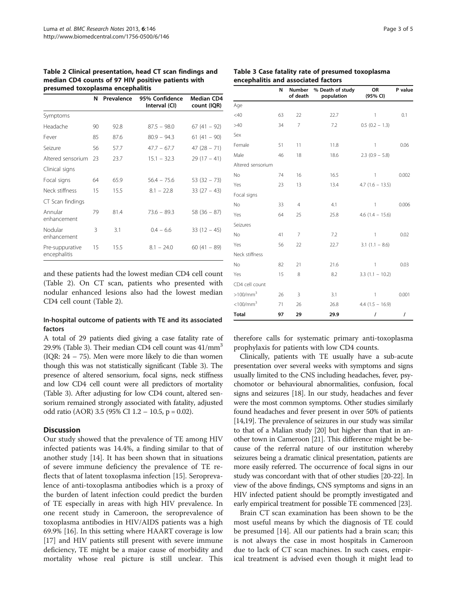#### <span id="page-2-0"></span>Table 2 Clinical presentation, head CT scan findings and median CD4 counts of 97 HIV positive patients with presumed toxoplasma encephalitis

|                                 |    | N Prevalence | 95% Confidence<br>Interval (CI) | Median CD4<br>count (IQR) |
|---------------------------------|----|--------------|---------------------------------|---------------------------|
| Symptoms                        |    |              |                                 |                           |
| Headache                        | 90 | 92.8         | $87.5 - 98.0$                   | $67(41 - 92)$             |
| Fever                           | 85 | 87.6         | $80.9 - 94.3$                   | $61(41 - 90)$             |
| Seizure                         | 56 | 57.7         | $47.7 - 67.7$                   | $47(28 - 71)$             |
| Altered sensorium               | 23 | 23.7         | $15.1 - 32.3$                   | $29(17 - 41)$             |
| Clinical signs                  |    |              |                                 |                           |
| Focal signs                     | 64 | 65.9         | $56.4 - 75.6$                   | $53(32 - 73)$             |
| Neck stiffness                  | 15 | 15.5         | $8.1 - 22.8$                    | $33(27 - 43)$             |
| CT Scan findings                |    |              |                                 |                           |
| Annular<br>enhancement          | 79 | 81.4         | $73.6 - 89.3$                   | $58(36 - 87)$             |
| Nodular<br>enhancement          | 3  | 3.1          | $0.4 - 6.6$                     | $33(12 - 45)$             |
| Pre-suppurative<br>encephalitis | 15 | 15.5         | $8.1 - 24.0$                    | $60(41 - 89)$             |

and these patients had the lowest median CD4 cell count (Table 2). On CT scan, patients who presented with nodular enhanced lesions also had the lowest median CD4 cell count (Table 2).

## In-hospital outcome of patients with TE and its associated factors

A total of 29 patients died giving a case fatality rate of 29.9% (Table 3). Their median CD4 cell count was  $41/mm<sup>3</sup>$ (IQR: 24 – 75). Men were more likely to die than women though this was not statistically significant (Table 3). The presence of altered sensorium, focal signs, neck stiffness and low CD4 cell count were all predictors of mortality (Table 3). After adjusting for low CD4 count, altered sensorium remained strongly associated with fatality, adjusted odd ratio (AOR) 3.5 (95% CI 1.2 – 10.5, p = 0.02).

## **Discussion**

Our study showed that the prevalence of TE among HIV infected patients was 14.4%, a finding similar to that of another study [[14](#page-4-0)]. It has been shown that in situations of severe immune deficiency the prevalence of TE reflects that of latent toxoplasma infection [\[15](#page-4-0)]. Seroprevalence of anti-toxoplasma antibodies which is a proxy of the burden of latent infection could predict the burden of TE especially in areas with high HIV prevalence. In one recent study in Cameroon, the seroprevalence of toxoplasma antibodies in HIV/AIDS patients was a high 69.9% [[16](#page-4-0)]. In this setting where HAART coverage is low [[17\]](#page-4-0) and HIV patients still present with severe immune deficiency, TE might be a major cause of morbidity and mortality whose real picture is still unclear. This

|                         | N  | Number<br>of death | % Death of study<br>population | OR<br>(95% CI)       | P value  |
|-------------------------|----|--------------------|--------------------------------|----------------------|----------|
| Age                     |    |                    |                                |                      |          |
| <40                     | 63 | 22                 | 22.7                           | 1                    | 0.1      |
| >40                     | 34 | $\overline{7}$     | 7.2                            | $0.5(0.2 - 1.3)$     |          |
| Sex                     |    |                    |                                |                      |          |
| Female                  | 51 | 11                 | 11.8                           | 1                    | 0.06     |
| Male                    | 46 | 18                 | 18.6                           | $2.3(0.9 - 5.8)$     |          |
| Altered sensorium       |    |                    |                                |                      |          |
| No                      | 74 | 16                 | 16.5                           | 1                    | 0.002    |
| Yes                     | 23 | 13                 | 13.4                           | $4.7$ $(1.6 - 13.5)$ |          |
| Focal signs             |    |                    |                                |                      |          |
| <b>No</b>               | 33 | $\overline{4}$     | 4.1                            | 1                    | 0.006    |
| Yes                     | 64 | 25                 | 25.8                           | $4.6$ (1.4 - 15.6)   |          |
| Seizures                |    |                    |                                |                      |          |
| <b>No</b>               | 41 | $\overline{7}$     | 7.2                            | 1                    | 0.02     |
| Yes                     | 56 | 22                 | 22.7                           | $3.1(1.1 - 8.6)$     |          |
| Neck stiffness          |    |                    |                                |                      |          |
| <b>No</b>               | 82 | 21                 | 21.6                           | 1                    | 0.03     |
| Yes                     | 15 | 8                  | 8.2                            | $3.3(1.1 - 10.2)$    |          |
| CD4 cell count          |    |                    |                                |                      |          |
| $>100/mm^3$             | 26 | 3                  | 3.1                            | 1                    | 0.001    |
| $<$ 100/mm <sup>3</sup> | 71 | 26                 | 26.8                           | $4.4(1.5 - 16.9)$    |          |
| <b>Total</b>            | 97 | 29                 | 29.9                           | $\prime$             | $\prime$ |

therefore calls for systematic primary anti-toxoplasma prophylaxis for patients with low CD4 counts.

Clinically, patients with TE usually have a sub-acute presentation over several weeks with symptoms and signs usually limited to the CNS including headaches, fever, psychomotor or behavioural abnormalities, confusion, focal signs and seizures [\[18\]](#page-4-0). In our study, headaches and fever were the most common symptoms. Other studies similarly found headaches and fever present in over 50% of patients [[14,19\]](#page-4-0). The prevalence of seizures in our study was similar to that of a Malian study [[20](#page-4-0)] but higher than that in another town in Cameroon [\[21\]](#page-4-0). This difference might be because of the referral nature of our institution whereby seizures being a dramatic clinical presentation, patients are more easily referred. The occurrence of focal signs in our study was concordant with that of other studies [[20](#page-4-0)-[22](#page-4-0)]. In view of the above findings, CNS symptoms and signs in an HIV infected patient should be promptly investigated and early empirical treatment for possible TE commenced [\[23\]](#page-4-0).

Brain CT scan examination has been shown to be the most useful means by which the diagnosis of TE could be presumed [[14\]](#page-4-0). All our patients had a brain scan; this is not always the case in most hospitals in Cameroon due to lack of CT scan machines. In such cases, empirical treatment is advised even though it might lead to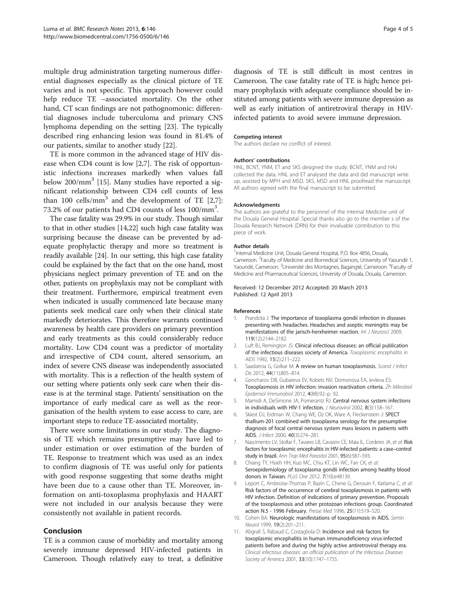<span id="page-3-0"></span>multiple drug administration targeting numerous differential diagnoses especially as the clinical picture of TE varies and is not specific. This approach however could help reduce TE –associated mortality. On the other hand, CT scan findings are not pathognomonic: differential diagnoses include tuberculoma and primary CNS lymphoma depending on the setting [\[23](#page-4-0)]. The typically described ring enhancing lesion was found in 81.4% of our patients, similar to another study [[22](#page-4-0)].

TE is more common in the advanced stage of HIV disease when CD4 count is low [2,7]. The risk of opportunistic infections increases markedly when values fall below  $200/mm^3$  [[15](#page-4-0)]. Many studies have reported a significant relationship between CD4 cell counts of less than 100 cells/mm<sup>3</sup> and the development of TE  $[2,7]$ : 73.2% of our patients had CD4 counts of less 100/mm<sup>3</sup>.

The case fatality was 29.9% in our study. Though similar to that in other studies [\[14,22](#page-4-0)] such high case fatality was surprising because the disease can be prevented by adequate prophylactic therapy and more so treatment is readily available [[24](#page-4-0)]. In our setting, this high case fatality could be explained by the fact that on the one hand, most physicians neglect primary prevention of TE and on the other, patients on prophylaxis may not be compliant with their treatment. Furthermore, empirical treatment even when indicated is usually commenced late because many patients seek medical care only when their clinical state markedly deteriorates. This therefore warrants continued awareness by health care providers on primary prevention and early treatments as this could considerably reduce mortality. Low CD4 count was a predictor of mortality and irrespective of CD4 count, altered sensorium, an index of severe CNS disease was independently associated with mortality. This is a reflection of the health system of our setting where patients only seek care when their disease is at the terminal stage. Patients' sensitisation on the importance of early medical care as well as the reorganisation of the health system to ease access to care, are important steps to reduce TE-associated mortality.

There were some limitations in our study. The diagnosis of TE which remains presumptive may have led to under estimation or over estimation of the burden of TE. Response to treatment which was used as an index to confirm diagnosis of TE was useful only for patients with good response suggesting that some deaths might have been due to a cause other than TE. Moreover, information on anti-toxoplasma prophylaxis and HAART were not included in our analysis because they were consistently not available in patient records.

## Conclusion

TE is a common cause of morbidity and mortality among severely immune depressed HIV-infected patients in Cameroon. Though relatively easy to treat, a definitive diagnosis of TE is still difficult in most centres in Cameroon. The case fatality rate of TE is high; hence primary prophylaxis with adequate compliance should be instituted among patients with severe immune depression as well as early initiation of antiretroviral therapy in HIVinfected patients to avoid severe immune depression.

#### Competing interest

The authors declare no conflict of interest.

#### Authors' contributions

HNL, BCNT, YNM, ET and SKS designed the study. BCNT, YNM and HAJ collected the data. HNL and ET analysed the data and did manuscript write up, assisted by MPH and MSD. SKS, MSD and HNL proofread the manuscript. All authors agreed with the final manuscript to be submitted.

#### Acknowledgments

The authors are grateful to the personnel of the internal Medicine unit of the Douala General Hospital. Special thanks also go to the member s of the Douala Research Network (DRN) for their invaluable contribution to this piece of work.

#### Author details

<sup>1</sup> Internal Medicine Unit, Douala General Hospital, P.O. Box 4856, Douala Cameroon. <sup>2</sup> Faculty of Medicine and Biomedical Sciences, University of Yaoundé 1, Yaoundé, Cameroon.<sup>3</sup>Université des Montagnes, Bagangté, Cameroon.<sup>4</sup> Faculty of Medicine and Pharmaceutical Sciences, University of Douala, Douala, Cameroon.

#### Received: 12 December 2012 Accepted: 20 March 2013 Published: 12 April 2013

#### References

- 1. Prandota J: The importance of toxoplasma gondii infection in diseases presenting with headaches. Headaches and aseptic meningitis may be manifestations of the jarisch-herxheimer reaction. Int J Neurosci 2009, 119(12):2144–2182.
- 2. Luft BJ, Remington JS: Clinical infectious diseases: an official publication of the infectious diseases society of America. Toxoplasmic encephalitis in AIDS 1992, 15(2):211–222.
- 3. Saadatnia G, Golkar M: A review on human toxoplasmosis. Scand J Infect Dis 2012, 44(11):805–814.
- 4. Goncharov DB, Gubareva EV, Kobets NV, Domonova EA, Ievleva ES: Toxoplasmosis in HIV infection: invasion reactivation criteria. Zh Mikrobiol Epidemiol Immunobiol 2012, 4(88):92–p. 92.
- 5. Mamidi A, DeSimone JA, Pomerantz RJ: Central nervous system infections in individuals with HIV-1 infection. J Neurovirol 2002, 8(3):158-167.
- 6. Skiest DJ, Erdman W, Chang WE, Oz OK, Ware A, Fleckenstein J: SPECT thallium-201 combined with toxoplasma serology for the presumptive diagnosis of focal central nervous system mass lesions in patients with AIDS. J Infect 2000, 40(3):274–281.
- 7. Nascimento LV, Stollar F, Tavares LB, Cavasini CE, Maia IL, Cordeiro JA, et al: Risk factors for toxoplasmic encephalitis in HIV-infected patients: a case–control study in brazil. Ann Trop Med Parasitol 2001, 95(6):587–593.
- 8. Chiang TY, Hsieh HH, Kuo MC, Chiu KT, Lin WC, Fan CK, et al: Seroepidemiology of toxoplasma gondii infection among healthy blood donors in Taiwan. PLoS One 2012, 7(10):e48139.
- 9. Leport C, Ambroise-Thomas P, Bazin C, Chene G, Derouin F, Katlama C, et al: Risk factors of the occurrence of cerebral toxoplasmosis in patients with HIV infection. Definition of indications of primary prevention. Proposals of the toxoplasmosis and other protozoan infections group. Coordinated action N.5 - 1996 February. Presse Med 1996, 25(11):519–520.
- 10. Cohen BA: Neurologic manifestations of toxoplasmosis in AIDS. Semin Neurol 1999, 19(2):201–211.
- 11. Abgrall S, Rabaud C, Costagliola D: Incidence and risk factors for toxoplasmic encephalitis in human immunodeficiency virus-infected patients before and during the highly active antiretroviral therapy era. Clinical infectious diseases: an official publication of the Infectious Diseases Society of America 2001, 33(10):1747–1755.